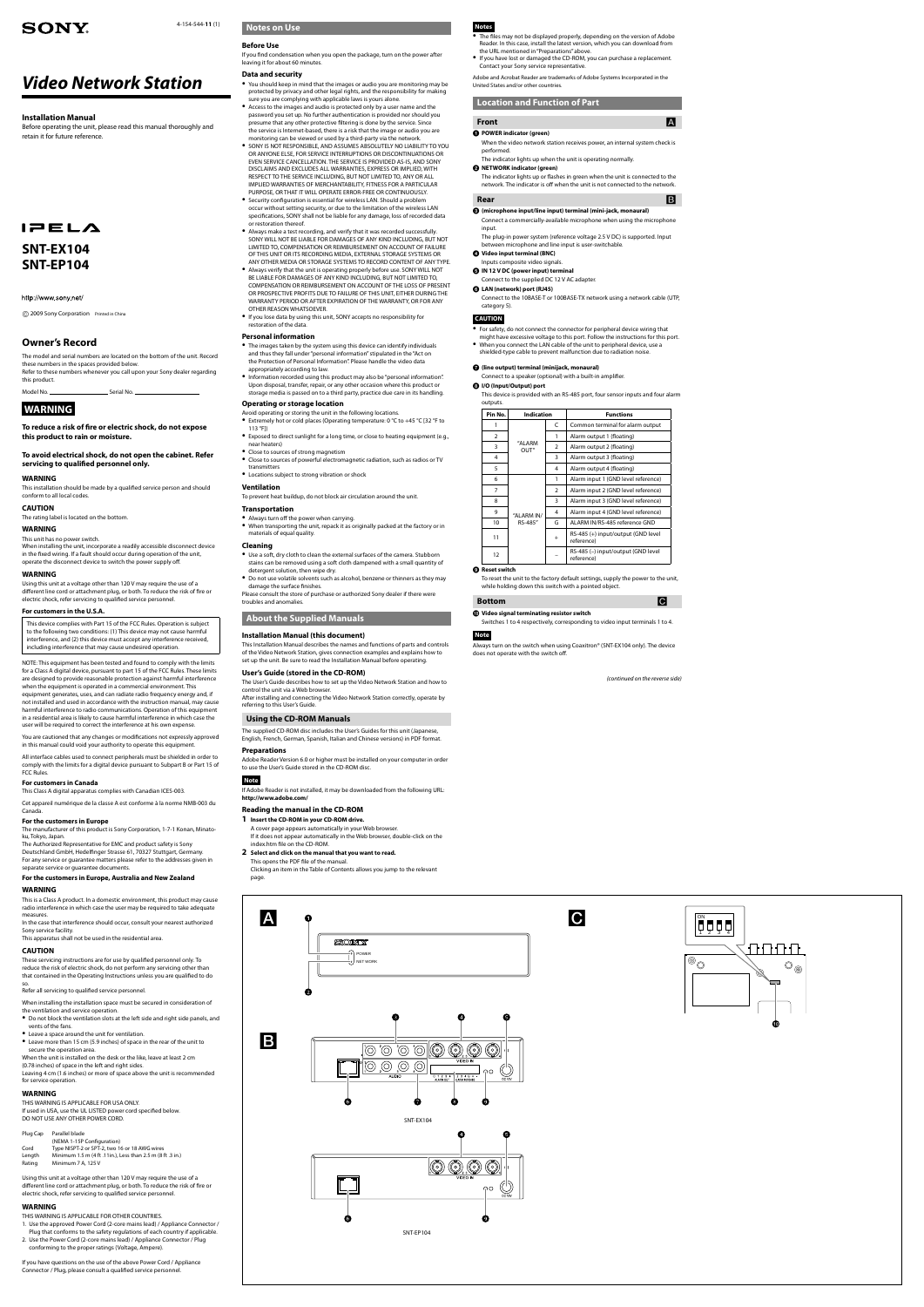# *Video Network Station*

# **Installation Manual**

Before operating the unit, please read this manual thoroughly and retain it for future reference.

# $I = EL<sub>A</sub>$

# **Owner's Record**

The model and serial numbers are located on the bottom of the unit. Record these numbers in the spaces provided below. Refer to these numbers whenever you call upon your Sony dealer regarding this product.

Model No. Serial No.

# **WARNING**

**To reduce a risk of fire or electric shock, do not expose this product to rain or moisture.**

**To avoid electrical shock, do not open the cabinet. Refer servicing to qualified personnel only.** 

#### **WARNING**

This installation should be made by a qualified service person and should conform to all local codes.

# **CAUTION**

The rating label is located on the bottom.

## **WARNING**

This unit has no power switch. When installing the unit, incorporate a readily accessible disconnect device in the fixed wiring. If a fault should occur during operation of the unit, operate the disconnect device to switch the power supply off.

#### **WARNING**

Using this unit at a voltage other than 120 V may require the use of a different line cord or attachment plug, or both. To reduce the risk of fire or electric shock, refer servicing to qualified service personnel.

# **For customers in the U.S.A.**

This device complies with Part 15 of the FCC Rules. Operation is subject to the following two conditions: (1) This device may not cause harmful interference, and (2) this device must accept any interference received, including interference that may cause undesired operation.

NOTE: This equipment has been tested and found to comply with the limits for a Class A digital device, pursuant to part 15 of the FCC Rules. These limits are designed to provide reasonable protection against harmful interference when the equipment is operated in a commercial environment. This equipment generates, uses, and can radiate radio frequency energy and, if

not installed and used in accordance with the instruction manual, may cause harmful interference to radio communications. Operation of this equipment in a residential area is likely to cause harmful interference in which case the user will be required to correct the interference at his own expense.

You are cautioned that any changes or modifications not expressly approved in this manual could void your authority to operate this equipment.

All interface cables used to connect peripherals must be shielded in order to comply with the limits for a digital device pursuant to Subpart B or Part 15 of FCC Rules.

#### **For customers in Canada**

This Class A digital apparatus complies with Canadian ICES-003.

Cet appareil numérique de la classe A est conforme à la norme NMB-003 du Canada.

# **SONY**

#### 4-154-544-**11** (1) **Notes on Use**

## **For the customers in Europe**

The manufacturer of this product is Sony Corporation, 1-7-1 Konan, Minatoku, Tokyo, Japan.

The Authorized Representative for EMC and product safety is Sony Deutschland GmbH, Hedelfinger Strasse 61, 70327 Stuttgart, Germany. For any service or guarantee matters please refer to the addresses given in separate service or guarantee documents.

## **For the customers in Europe, Australia and New Zealand**

#### **WARNING**

This is a Class A product. In a domestic environment, this product may cause radio interference in which case the user may be required to take adequate measures.

In the case that interference should occur, consult your nearest authorized Sony service facility.

This apparatus shall not be used in the residential area.

# **CAUTION**

These servicing instructions are for use by qualified personnel only. To reduce the risk of electric shock, do not perform any servicing other than that contained in the Operating Instructions unless you are qualified to do so.

Refer all servicing to qualified service personnel.

When installing the installation space must be secured in consideration of the ventilation and service operation.

- Do not block the ventilation slots at the left side and right side panels, and vents of the fans.
- Leave a space around the unit for ventilation.
- Leave more than 15 cm (5.9 inches) of space in the rear of the unit to secure the operation area.
- When the unit is installed on the desk or the like, leave at least 2 cm

(0.78 inches) of space in the left and right sides.

Leaving 4 cm (1.6 inches) or more of space above the unit is recommended for service operation.

# **WARNING**

THIS WARNING IS APPLICABLE FOR USA ONLY. If used in USA, use the UL LISTED power cord specified below. DO NOT USE ANY OTHER POWER CORD.

#### Plug Cap Parallel blade

- (NEMA 1-15P Configuration)
- Cord Type NISPT-2 or SPT-2, two 16 or 18 AWG wires
- Length Minimum 1.5 m (4 ft .11in.), Less than 2.5 m (8 ft .3 in.)
- Rating Minimum 7 A, 125 V

The User's Guide describes how to set up the Video Network Station and how to control the unit via a Web browser. After installing and connecting the Video Network Station correctly, operate b

Using this unit at a voltage other than 120 V may require the use of a different line cord or attachment plug, or both. To reduce the risk of fire or electric shock, refer servicing to qualified service personnel.

# **WARNING**

- THIS WARNING IS APPLICABLE FOR OTHER COUNTRIES. 1. Use the approved Power Cord (2-core mains lead) / Appliance Connector /
- Plug that conforms to the safety regulations of each country if applicable.
- 2. Use the Power Cord (2-core mains lead) / Appliance Connector / Plug conforming to the proper ratings (Voltage, Ampere).

If you have questions on the use of the above Power Cord / Appliance Connector / Plug, please consult a qualified service personnel.

- Extremely hot or cold places (Operating temperature: 0 °C to +45 °C [32 °F to 113 °F])
- Exposed to direct sunlight for a long time, or close to heating equipment (e.g., near heaters)
- Close to sources of strong magnetism
- Close to sources of powerful electromagnetic radiation, such as radios or TV transmitters
- Locations subject to strong vibration or shock

# **Before Use**

If you find condensation when you open the package, turn on the power after leaving it for about 60 minutes.

# **Data and security**

- You should keep in mind that the images or audio you are monitoring may be protected by privacy and other legal rights, and the responsibility for making sure you are complying with applicable laws is yours alone.
- Access to the images and audio is protected only by a user name and the password you set up. No further authentication is provided nor should you presume that any other protective filtering is done by the service. Since the service is Internet-based, there is a risk that the image or audio you are monitoring can be viewed or used by a third-party via the network.
- **SONY IS NOT RESPONSIBLE, AND ASSUMES ABSOLUTELY NO LIABILITY TO YOU** OR ANYONE ELSE, FOR SERVICE INTERRUPTIONS OR DISCONTINUATIONS OR EVEN SERVICE CANCELLATION. THE SERVICE IS PROVIDED AS-IS, AND SONY DISCLAIMS AND EXCLUDES ALL WARRANTIES, EXPRESS OR IMPLIED, WITH RESPECT TO THE SERVICE INCLUDING, BUT NOT LIMITED TO, ANY OR ALL IMPLIED WARRANTIES OF MERCHANTARILITY FITNESS FOR A PARTICULAR PURPOSE, OR THAT IT WILL OPERATE ERROR-FREE OR CONTINUOUSLY.
- **•** Security configuration is essential for wireless LAN. Should a problem occur without setting security, or due to the limitation of the wireless LAN specifications, SONY shall not be liable for any damage, loss of recorded data or restoration thereof.
- Always make a test recording, and verify that it was recorded successfully. SONY WILL NOT BE LIABLE FOR DAMAGES OF ANY KIND INCLUDING, BUT NOT LIMITED TO, COMPENSATION OR REIMBURSEMENT ON ACCOUNT OF FAILURE OF THIS UNIT OR ITS RECORDING MEDIA, EXTERNAL STORAGE SYSTEMS OR ANY OTHER MEDIA OR STORAGE SYSTEMS TO RECORD CONTENT OF ANY TYPE.
- Always verify that the unit is operating properly before use. SONY WILL NOT BE LIABLE FOR DAMAGES OF ANY KIND INCLUDING, BUT NOT LIMITED TO, COMPENSATION OR REIMBURSEMENT ON ACCOUNT OF THE LOSS OF PRESENT OR PROSPECTIVE PROFITS DUE TO FAILURE OF THIS UNIT, EITHER DURING THE WARRANTY PERIOD OR AFTER EXPIRATION OF THE WARRANTY, OR FOR ANY OTHER REASON WHATSOEVER.
- If you lose data by using this unit, SONY accepts no responsibility for restoration of the data.

#### **Personal information**

# appropriately according to law.

- The images taken by the system using this device can identify individuals and thus they fall under "personal information" stipulated in the "Act on the Protection of Personal Information". Please handle the video data
- Information recorded using this product may also be "personal information". Upon disposal, transfer, repair, or any other occasion where this product or storage media is passed on to a third party, practice due care in its handling.

# **Operating or storage location**

# Avoid operating or storing the unit in the following locations.

# **Ventilation**

To prevent heat buildup, do not block air circulation around the unit.

### **Transportation**

- Always turn off the power when carrying.
- When transporting the unit, repack it as originally packed at the factory or in materials of equal quality.

# **Cleaning**

- Use a soft, dry cloth to clean the external surfaces of the camera. Stubborn stains can be removed using a soft cloth dampened with a small quantity of detergent solution, then wipe dry.
- Do not use volatile solvents such as alcohol, benzene or thinners as they may damage the surface finishes.
- Please consult the store of purchase or authorized Sony dealer if there were troubles and anomalies.

# **About the Supplied Manuals**

# **Installation Manual (this document)**

This Installation Manual describes the names and functions of parts and controls of the Video Network Station, gives connection examples and explains how to set up the unit. Be sure to read the Installation Manual before operating.

## **User's Guide (stored in the CD-ROM)**

referring to this User's Guide.

#### **Using the CD-ROM Manuals**

The supplied CD-ROM disc includes the User's Guides for this unit (Japanese, English, French, German, Spanish, Italian and Chinese versions) in PDF format.

#### **Preparations**

Adobe Reader Version 6.0 or higher must be installed on your computer in order to use the User's Guide stored in the CD-ROM disc.

# **Note**

If Adobe Reader is not installed, it may be downloaded from the following URL: **http://www.adobe.com/**

# **Reading the manual in the CD-ROM**

- **1 Insert the CD-ROM in your CD-ROM drive.**
- A cover page appears automatically in your Web browser. If it does not appear automatically in the Web browser, double-click on the index.htm file on the CD-ROM.

# **2 Select and click on the manual that you want to read.**

This opens the PDF file of the manual.

Clicking an item in the Table of Contents allows you jump to the relevant page.

# **Notes**

- The files may not be displayed properly, depending on the version of Adobe Reader. In this case, install the latest version, which you can download from the URL mentioned in "Preparations" above.
- If you have lost or damaged the CD-ROM, you can purchase a replacement. Contact your Sony service representative.

Adobe and Acrobat Reader are trademarks of Adobe Systems Incorporated in the United States and/or other countries.

# **Location and Function of Part**

# **Front A**

# **POWER indicator (green)**

- When the video network station receives power, an internal system check is performed.
- The indicator lights up when the unit is operating normally.

# **NETWORK indicator (green)**

The indicator lights up or flashes in green when the unit is connected to the network. The indicator is off when the unit is not connected to the network.

# **Rear B**

- **(microphone input/line input) terminal (mini-jack, monaural)**
- Connect a commercially-available microphone when using the microphone input.
- The plug-in power system (reference voltage 2.5 V DC) is supported. Input between microphone and line input is user-switchable.
- **Video input terminal (BNC)**
- Inputs composite video signals.
- $\bigcirc$  **IN 12 V DC (power input) terminal** Connect to the supplied DC 12 V AC adapter.
- **LAN (network) port (RJ45)**
- Connect to the 10BASE-T or 100BASE-TX network using a network cable (UTP, category 5).

# **CAUTION**

- For safety, do not connect the connector for peripheral device wiring that might have excessive voltage to this port. Follow the instructions for this port.
- When you connect the LAN cable of the unit to peripheral device, use a
- shielded-type cable to prevent malfunction due to radiation noise.

# **(line output) terminal (minijack, monaural)**

#### Connect to a speaker (optional) with a built-in amplifier. **I/O (Input/Output) port**

- 
- This device is provided with an RS-485 port, four sensor inputs and four alarm outputs.

| Pin No.        | Indication            |           | <b>Functions</b>                                 |
|----------------|-----------------------|-----------|--------------------------------------------------|
| 1              | "ALARM<br>OUT"        | C         | Common terminal for alarm output                 |
| $\overline{2}$ |                       | 1         | Alarm output 1 (floating)                        |
| 3              |                       | 2         | Alarm output 2 (floating)                        |
| 4              |                       | 3         | Alarm output 3 (floating)                        |
| 5              |                       | 4         | Alarm output 4 (floating)                        |
| 6              | "ALARM IN/<br>RS-485" | 1         | Alarm input 1 (GND level reference)              |
| 7              |                       | 2         | Alarm input 2 (GND level reference)              |
| 8              |                       | 3         | Alarm input 3 (GND level reference)              |
| 9              |                       | 4         | Alarm input 4 (GND level reference)              |
| 10             |                       | G         | ALARM IN/RS-485 reference GND                    |
| 11             |                       | $\ddot{}$ | RS-485 (+) input/output (GND level<br>reference) |
| 12             |                       |           | RS-485 (-) input/output (GND level<br>reference) |

# **Reset switch**

To reset the unit to the factory default settings, supply the power to the unit, while holding down this switch with a pointed object.

# **Bottom Bottom Bottom Bottom Bottom Bottom Bottom Bottom Bottom Bottom Bottom Bottom Bottom Bottom Bottom Bottom Bottom Bottom Bottom Bottom Bottom Bottom Bottom Bottom Botto**

# **Video signal terminating resistor switch**

| Switches 1 to 4 respectively, corresponding to video input terminals 1 to 4. |  |  |  |
|------------------------------------------------------------------------------|--|--|--|
|------------------------------------------------------------------------------|--|--|--|

# **Note**

Always turn on the switch when using Coaxitron® (SNT-EX104 only). The device does not operate with the switch off.

*(continued on the reverse side)*





⊕

SNT-EP104

Ω

G

# **SNT-EX104 SNT-EP104**

## http://www.sony.net/

2009 Sony Corporation Printed in China